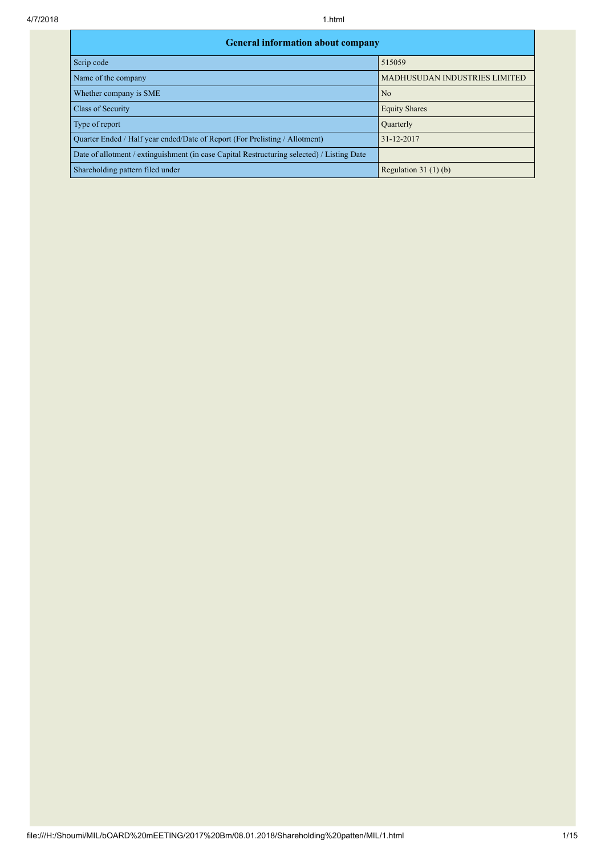| <b>General information about company</b>                                                   |                                      |  |  |  |  |  |  |  |  |
|--------------------------------------------------------------------------------------------|--------------------------------------|--|--|--|--|--|--|--|--|
| Scrip code                                                                                 | 515059                               |  |  |  |  |  |  |  |  |
| Name of the company                                                                        | <b>MADHUSUDAN INDUSTRIES LIMITED</b> |  |  |  |  |  |  |  |  |
| Whether company is SME                                                                     | N <sub>0</sub>                       |  |  |  |  |  |  |  |  |
| Class of Security                                                                          | <b>Equity Shares</b>                 |  |  |  |  |  |  |  |  |
| Type of report                                                                             | Quarterly                            |  |  |  |  |  |  |  |  |
| Quarter Ended / Half year ended/Date of Report (For Prelisting / Allotment)                | 31-12-2017                           |  |  |  |  |  |  |  |  |
| Date of allotment / extinguishment (in case Capital Restructuring selected) / Listing Date |                                      |  |  |  |  |  |  |  |  |
| Shareholding pattern filed under                                                           | Regulation $31(1)(b)$                |  |  |  |  |  |  |  |  |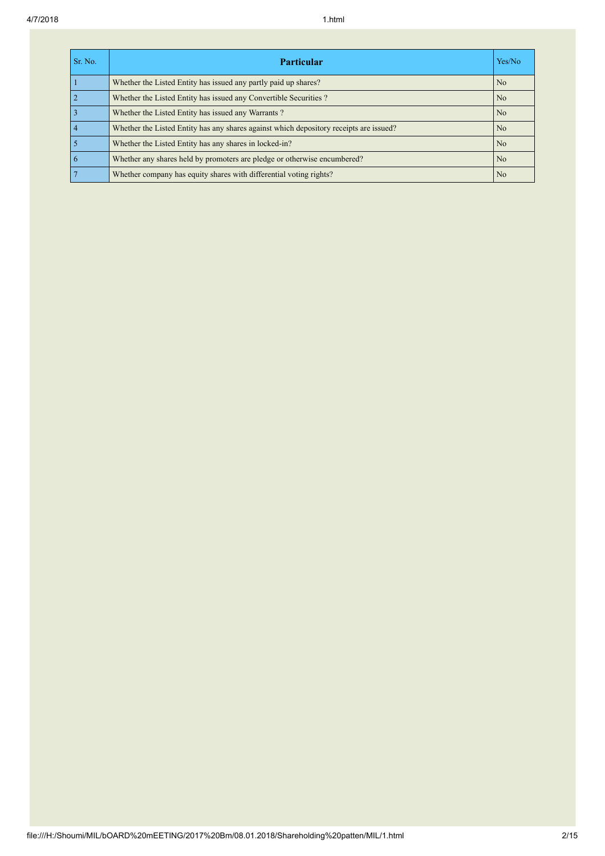| Sr. No. | <b>Particular</b>                                                                      | Yes/No         |
|---------|----------------------------------------------------------------------------------------|----------------|
|         | Whether the Listed Entity has issued any partly paid up shares?                        | No             |
|         | Whether the Listed Entity has issued any Convertible Securities?                       | No             |
|         | Whether the Listed Entity has issued any Warrants?                                     | No             |
|         | Whether the Listed Entity has any shares against which depository receipts are issued? | N <sub>0</sub> |
|         | Whether the Listed Entity has any shares in locked-in?                                 | No             |
|         | Whether any shares held by promoters are pledge or otherwise encumbered?               | No             |
|         | Whether company has equity shares with differential voting rights?                     | No             |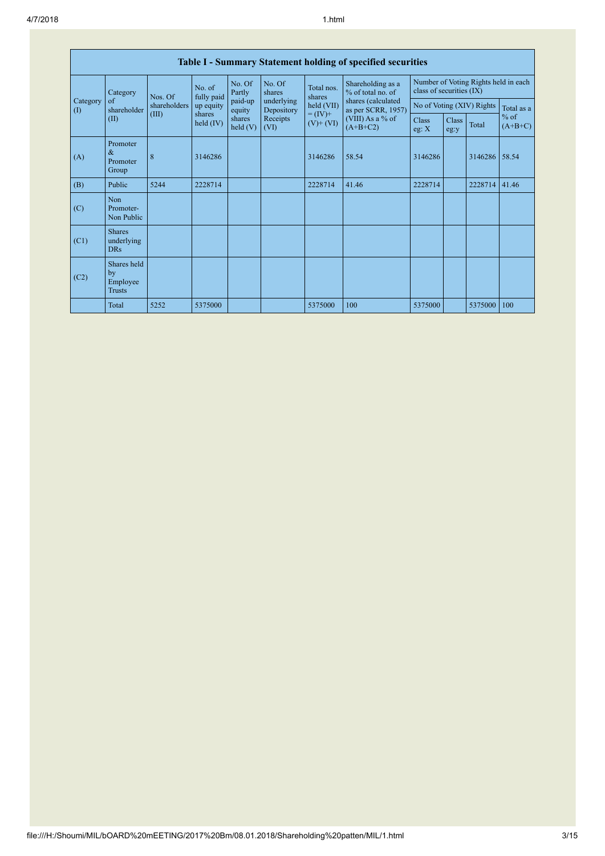| Table I - Summary Statement holding of specified securities |                                           |                                  |                                   |                    |                                              |                                                                   |                                                                                                                      |                                                                  |               |         |                     |
|-------------------------------------------------------------|-------------------------------------------|----------------------------------|-----------------------------------|--------------------|----------------------------------------------|-------------------------------------------------------------------|----------------------------------------------------------------------------------------------------------------------|------------------------------------------------------------------|---------------|---------|---------------------|
|                                                             | Category                                  | Nos. Of<br>shareholders<br>(III) | No. of<br>fully paid<br>up equity | No. Of<br>Partly   | No. Of<br>shares<br>underlying<br>Depository | Total nos.<br>shares<br>held (VII)<br>$= (IV) +$<br>$(V)$ + $(V)$ | Shareholding as a<br>% of total no. of<br>shares (calculated<br>as per SCRR, 1957)<br>(VIII) As a % of<br>$(A+B+C2)$ | Number of Voting Rights held in each<br>class of securities (IX) |               |         |                     |
| Category<br>$\left( \mathrm{I}\right)$                      | of<br>shareholder                         |                                  |                                   | paid-up<br>equity  |                                              |                                                                   |                                                                                                                      | No of Voting (XIV) Rights                                        |               |         | Total as a          |
| (II)                                                        |                                           |                                  | shares<br>held $(IV)$             | shares<br>held (V) | Receipts<br>(VI)                             |                                                                   |                                                                                                                      | Class<br>eg: $X$                                                 | Class<br>eg:y | Total   | $%$ of<br>$(A+B+C)$ |
| (A)                                                         | Promoter<br>$\&$<br>Promoter<br>Group     | 8                                | 3146286                           |                    |                                              | 3146286                                                           | 58.54                                                                                                                | 3146286                                                          |               | 3146286 | 58.54               |
| (B)                                                         | Public                                    | 5244                             | 2228714                           |                    |                                              | 2228714                                                           | 41.46                                                                                                                | 2228714                                                          |               | 2228714 | 41.46               |
| (C)                                                         | Non<br>Promoter-<br>Non Public            |                                  |                                   |                    |                                              |                                                                   |                                                                                                                      |                                                                  |               |         |                     |
| (C1)                                                        | <b>Shares</b><br>underlying<br><b>DRs</b> |                                  |                                   |                    |                                              |                                                                   |                                                                                                                      |                                                                  |               |         |                     |
| (C2)                                                        | Shares held<br>by<br>Employee<br>Trusts   |                                  |                                   |                    |                                              |                                                                   |                                                                                                                      |                                                                  |               |         |                     |
|                                                             | Total                                     | 5252                             | 5375000                           |                    |                                              | 5375000                                                           | 100                                                                                                                  | 5375000                                                          |               | 5375000 | 100                 |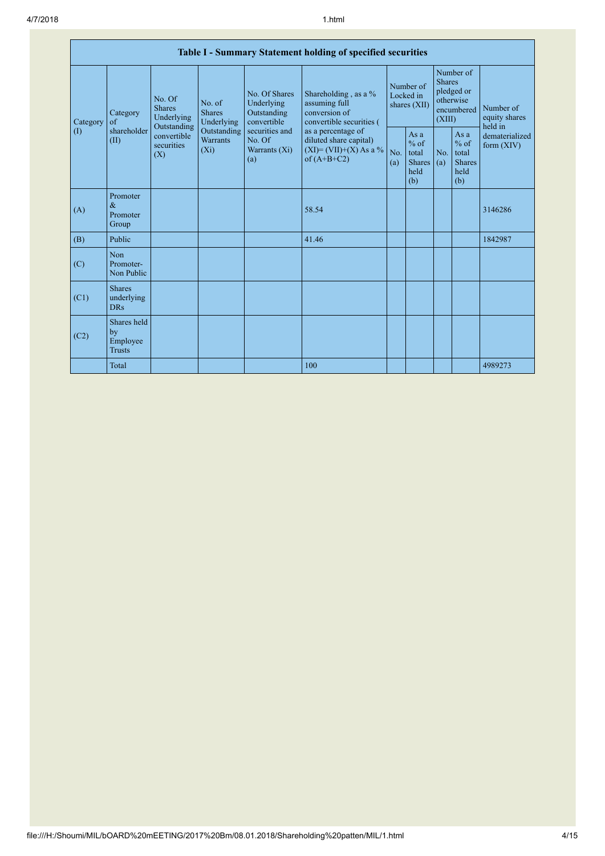| Table I - Summary Statement holding of specified securities |                                                |                                          |                                                                                    |                                                                                                               |                                                                                                                                                                                  |                                        |                                                         |                                                                               |                                                         |                                       |
|-------------------------------------------------------------|------------------------------------------------|------------------------------------------|------------------------------------------------------------------------------------|---------------------------------------------------------------------------------------------------------------|----------------------------------------------------------------------------------------------------------------------------------------------------------------------------------|----------------------------------------|---------------------------------------------------------|-------------------------------------------------------------------------------|---------------------------------------------------------|---------------------------------------|
| Category<br>$\left( \mathrm{I}\right)$                      | Category<br>of<br>shareholder<br>(II)<br>(X)   | No. Of<br><b>Shares</b><br>Underlying    | No. of<br><b>Shares</b><br>Underlying<br>Outstanding<br><b>Warrants</b><br>$(X_i)$ | No. Of Shares<br>Underlying<br>Outstanding<br>convertible<br>securities and<br>No. Of<br>Warrants (Xi)<br>(a) | Shareholding, as a %<br>assuming full<br>conversion of<br>convertible securities (<br>as a percentage of<br>diluted share capital)<br>$(XI) = (VII)+(X) As a %$<br>of $(A+B+C2)$ | Number of<br>Locked in<br>shares (XII) |                                                         | Number of<br><b>Shares</b><br>pledged or<br>otherwise<br>encumbered<br>(XIII) |                                                         | Number of<br>equity shares<br>held in |
|                                                             |                                                | Outstanding<br>convertible<br>securities |                                                                                    |                                                                                                               |                                                                                                                                                                                  | No.<br>(a)                             | As a<br>$%$ of<br>total<br><b>Shares</b><br>held<br>(b) | No.<br>(a)                                                                    | As a<br>$%$ of<br>total<br><b>Shares</b><br>held<br>(b) | dematerialized<br>form $(XIV)$        |
| (A)                                                         | Promoter<br>$\&$<br>Promoter<br>Group          |                                          |                                                                                    |                                                                                                               | 58.54                                                                                                                                                                            |                                        |                                                         |                                                                               |                                                         | 3146286                               |
| (B)                                                         | Public                                         |                                          |                                                                                    |                                                                                                               | 41.46                                                                                                                                                                            |                                        |                                                         |                                                                               |                                                         | 1842987                               |
| (C)                                                         | Non<br>Promoter-<br>Non Public                 |                                          |                                                                                    |                                                                                                               |                                                                                                                                                                                  |                                        |                                                         |                                                                               |                                                         |                                       |
| (C1)                                                        | <b>Shares</b><br>underlying<br><b>DRs</b>      |                                          |                                                                                    |                                                                                                               |                                                                                                                                                                                  |                                        |                                                         |                                                                               |                                                         |                                       |
| (C2)                                                        | Shares held<br>by<br>Employee<br><b>Trusts</b> |                                          |                                                                                    |                                                                                                               |                                                                                                                                                                                  |                                        |                                                         |                                                                               |                                                         |                                       |
|                                                             | Total                                          |                                          |                                                                                    |                                                                                                               | 100                                                                                                                                                                              |                                        |                                                         |                                                                               |                                                         | 4989273                               |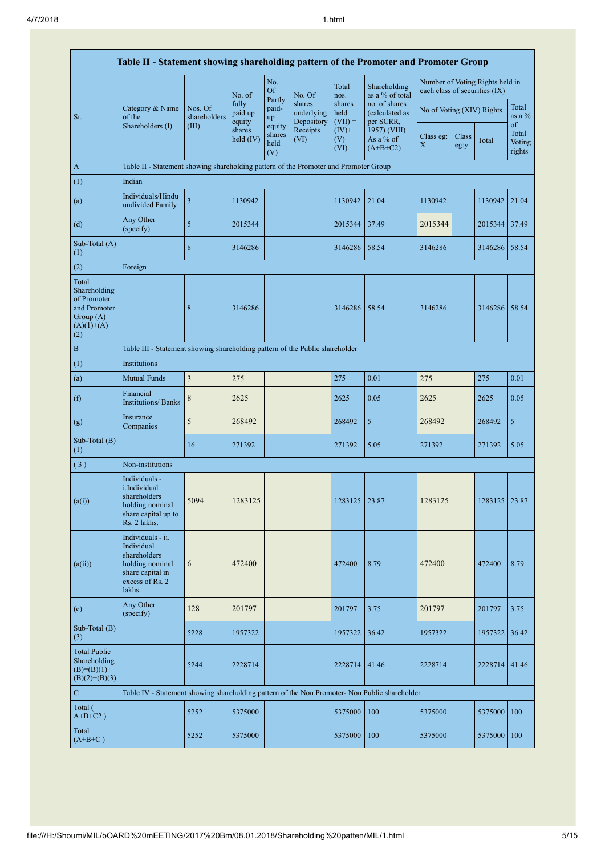| Table II - Statement showing shareholding pattern of the Promoter and Promoter Group        |                                                                                                                     |                                  |                            |                                 |                                    |                             |                                              |                                                                  |               |               |                           |
|---------------------------------------------------------------------------------------------|---------------------------------------------------------------------------------------------------------------------|----------------------------------|----------------------------|---------------------------------|------------------------------------|-----------------------------|----------------------------------------------|------------------------------------------------------------------|---------------|---------------|---------------------------|
|                                                                                             |                                                                                                                     |                                  | No. of                     | No.<br><b>Of</b>                | No. Of                             | Total<br>nos.               | Shareholding<br>as a % of total              | Number of Voting Rights held in<br>each class of securities (IX) |               |               |                           |
| Sr.                                                                                         | Category & Name<br>of the<br>Shareholders (I)                                                                       | Nos. Of<br>shareholders<br>(III) | fully<br>paid up<br>equity | Partly<br>paid-<br>up<br>equity | shares<br>underlying<br>Depository | shares<br>held<br>$(VII) =$ | no. of shares<br>(calculated as<br>per SCRR, | No of Voting (XIV) Rights                                        |               |               | Total<br>as a $%$<br>of   |
|                                                                                             |                                                                                                                     |                                  | shares<br>held (IV)        | shares<br>held<br>(V)           | Receipts<br>(VI)                   | $(IV)+$<br>$(V)$ +<br>(VI)  | 1957) (VIII)<br>As a % of<br>$(A+B+C2)$      | Class eg:<br>$\boldsymbol{\mathrm{X}}$                           | Class<br>eg:y | Total         | Total<br>Voting<br>rights |
| A                                                                                           | Table II - Statement showing shareholding pattern of the Promoter and Promoter Group                                |                                  |                            |                                 |                                    |                             |                                              |                                                                  |               |               |                           |
| (1)                                                                                         | Indian                                                                                                              |                                  |                            |                                 |                                    |                             |                                              |                                                                  |               |               |                           |
| (a)                                                                                         | Individuals/Hindu<br>undivided Family                                                                               | $\overline{3}$                   | 1130942                    |                                 |                                    | 1130942                     | 21.04                                        | 1130942                                                          |               | 1130942       | 21.04                     |
| (d)                                                                                         | Any Other<br>(specify)                                                                                              | 5                                | 2015344                    |                                 |                                    | 2015344                     | 37.49                                        | 2015344                                                          |               | 2015344       | 37.49                     |
| Sub-Total (A)<br>(1)                                                                        |                                                                                                                     | 8                                | 3146286                    |                                 |                                    | 3146286                     | 58.54                                        | 3146286                                                          |               | 3146286       | 58.54                     |
| (2)                                                                                         | Foreign                                                                                                             |                                  |                            |                                 |                                    |                             |                                              |                                                                  |               |               |                           |
| Total<br>Shareholding<br>of Promoter<br>and Promoter<br>Group $(A)=$<br>$(A)(1)+(A)$<br>(2) |                                                                                                                     | $\,$ 8 $\,$                      | 3146286                    |                                 |                                    | 3146286                     | 58.54                                        | 3146286                                                          |               | 3146286 58.54 |                           |
| $\bf{B}$                                                                                    | Table III - Statement showing shareholding pattern of the Public shareholder                                        |                                  |                            |                                 |                                    |                             |                                              |                                                                  |               |               |                           |
| (1)                                                                                         | Institutions                                                                                                        |                                  |                            |                                 |                                    |                             |                                              |                                                                  |               |               |                           |
| (a)                                                                                         | <b>Mutual Funds</b>                                                                                                 | 3                                | 275                        |                                 |                                    | 275                         | 0.01                                         | 275                                                              |               | 275           | 0.01                      |
| (f)                                                                                         | Financial<br><b>Institutions/Banks</b>                                                                              | $\,$ 8 $\,$                      | 2625                       |                                 |                                    | 2625                        | 0.05                                         | 2625                                                             |               | 2625          | 0.05                      |
| (g)                                                                                         | Insurance<br>Companies                                                                                              | 5                                | 268492                     |                                 |                                    | 268492                      | 5                                            | 268492                                                           |               | 268492        | 5                         |
| Sub-Total (B)<br>(1)                                                                        |                                                                                                                     | 16                               | 271392                     |                                 |                                    | 271392                      | 5.05                                         | 271392                                                           |               | 271392        | 5.05                      |
| (3)                                                                                         | Non-institutions                                                                                                    |                                  |                            |                                 |                                    |                             |                                              |                                                                  |               |               |                           |
| (a(i))                                                                                      | Individuals -<br>i.Individual<br>shareholders<br>holding nominal<br>share capital up to<br>Rs. 2 lakhs.             | 5094                             | 1283125                    |                                 |                                    | 1283125                     | 23.87                                        | 1283125                                                          |               | 1283125       | 23.87                     |
| (a(ii))                                                                                     | Individuals - ii.<br>Individual<br>shareholders<br>holding nominal<br>share capital in<br>excess of Rs. 2<br>lakhs. | 6                                | 472400                     |                                 |                                    | 472400                      | 8.79                                         | 472400                                                           |               | 472400        | 8.79                      |
| (e)                                                                                         | Any Other<br>(specify)                                                                                              | 128                              | 201797                     |                                 |                                    | 201797                      | 3.75                                         | 201797                                                           |               | 201797        | 3.75                      |
| Sub-Total (B)<br>(3)                                                                        |                                                                                                                     | 5228                             | 1957322                    |                                 |                                    | 1957322                     | 36.42                                        | 1957322                                                          |               | 1957322       | 36.42                     |
| <b>Total Public</b><br>Shareholding<br>$(B)= (B)(1) +$<br>$(B)(2)+(B)(3)$                   |                                                                                                                     | 5244                             | 2228714                    |                                 |                                    | 2228714                     | 41.46                                        | 2228714                                                          |               | 2228714 41.46 |                           |
| ${\bf C}$                                                                                   | Table IV - Statement showing shareholding pattern of the Non Promoter- Non Public shareholder                       |                                  |                            |                                 |                                    |                             |                                              |                                                                  |               |               |                           |
| Total (<br>$A+B+C2$ )                                                                       |                                                                                                                     | 5252                             | 5375000                    |                                 |                                    | 5375000                     | 100                                          | 5375000                                                          |               | 5375000       | 100                       |
| Total<br>$(A+B+C)$                                                                          |                                                                                                                     | 5252                             | 5375000                    |                                 |                                    | 5375000                     | 100                                          | 5375000                                                          |               | 5375000       | 100                       |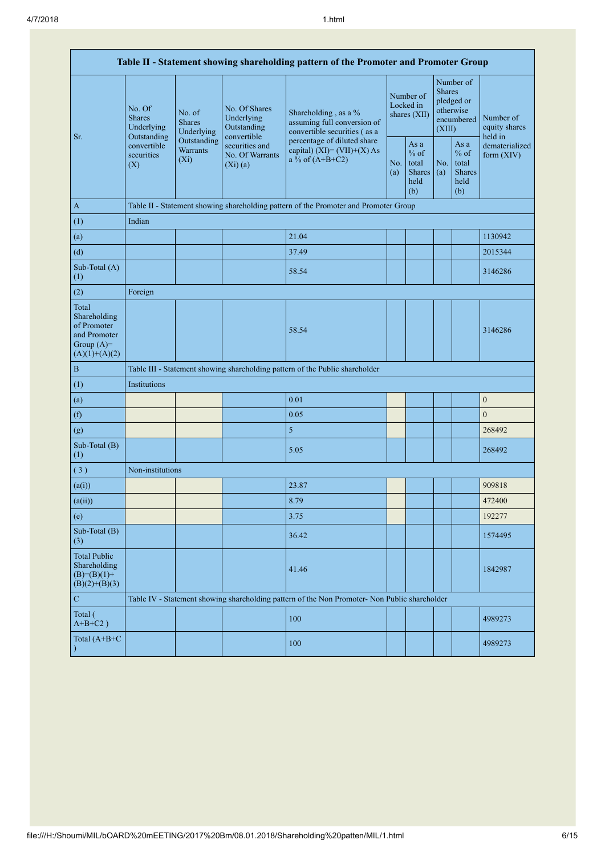| Table II - Statement showing shareholding pattern of the Promoter and Promoter Group    |                                                                                          |                                                                                                                                                                                                    |                                                                                   |                                                                                               |                                                  |            |                                                                               |                                |                                       |  |
|-----------------------------------------------------------------------------------------|------------------------------------------------------------------------------------------|----------------------------------------------------------------------------------------------------------------------------------------------------------------------------------------------------|-----------------------------------------------------------------------------------|-----------------------------------------------------------------------------------------------|--------------------------------------------------|------------|-------------------------------------------------------------------------------|--------------------------------|---------------------------------------|--|
|                                                                                         | No. Of<br><b>Shares</b><br>Underlying<br>Outstanding<br>convertible<br>securities<br>(X) | No. Of Shares<br>No. of<br>Underlying<br><b>Shares</b><br>Outstanding<br>Underlying<br>convertible<br>Outstanding<br>securities and<br><b>Warrants</b><br>No. Of Warrants<br>$(X_i)$<br>$(Xi)$ (a) |                                                                                   | Shareholding, as a %<br>assuming full conversion of<br>convertible securities (as a           | Number of<br>Locked in<br>shares (XII)           |            | Number of<br><b>Shares</b><br>pledged or<br>otherwise<br>encumbered<br>(XIII) |                                | Number of<br>equity shares<br>held in |  |
| Sr.                                                                                     |                                                                                          |                                                                                                                                                                                                    | percentage of diluted share<br>capital) (XI)= $(VII)+(X)$ As<br>a % of $(A+B+C2)$ | No.<br>(a)                                                                                    | As a<br>$%$ of<br>total<br>Shares<br>held<br>(b) | No.<br>(a) | As a<br>$%$ of<br>total<br><b>Shares</b><br>held<br>(b)                       | dematerialized<br>form $(XIV)$ |                                       |  |
| $\mathbf{A}$                                                                            |                                                                                          | Table II - Statement showing shareholding pattern of the Promoter and Promoter Group                                                                                                               |                                                                                   |                                                                                               |                                                  |            |                                                                               |                                |                                       |  |
| (1)                                                                                     | Indian                                                                                   |                                                                                                                                                                                                    |                                                                                   |                                                                                               |                                                  |            |                                                                               |                                |                                       |  |
| (a)                                                                                     |                                                                                          |                                                                                                                                                                                                    |                                                                                   | 21.04                                                                                         |                                                  |            |                                                                               |                                | 1130942                               |  |
| (d)                                                                                     |                                                                                          |                                                                                                                                                                                                    |                                                                                   | 37.49                                                                                         |                                                  |            |                                                                               |                                | 2015344                               |  |
| Sub-Total (A)<br>(1)                                                                    |                                                                                          |                                                                                                                                                                                                    |                                                                                   | 58.54                                                                                         |                                                  |            |                                                                               |                                | 3146286                               |  |
| (2)                                                                                     | Foreign                                                                                  |                                                                                                                                                                                                    |                                                                                   |                                                                                               |                                                  |            |                                                                               |                                |                                       |  |
| Total<br>Shareholding<br>of Promoter<br>and Promoter<br>Group $(A)=$<br>$(A)(1)+(A)(2)$ |                                                                                          |                                                                                                                                                                                                    |                                                                                   | 58.54                                                                                         |                                                  |            |                                                                               |                                | 3146286                               |  |
| $\, {\bf B}$                                                                            |                                                                                          |                                                                                                                                                                                                    |                                                                                   | Table III - Statement showing shareholding pattern of the Public shareholder                  |                                                  |            |                                                                               |                                |                                       |  |
| (1)                                                                                     | Institutions                                                                             |                                                                                                                                                                                                    |                                                                                   |                                                                                               |                                                  |            |                                                                               |                                |                                       |  |
| (a)                                                                                     |                                                                                          |                                                                                                                                                                                                    |                                                                                   | 0.01                                                                                          |                                                  |            |                                                                               |                                | $\boldsymbol{0}$                      |  |
| (f)                                                                                     |                                                                                          |                                                                                                                                                                                                    |                                                                                   | 0.05                                                                                          |                                                  |            |                                                                               |                                | $\mathbf{0}$                          |  |
| (g)                                                                                     |                                                                                          |                                                                                                                                                                                                    |                                                                                   | 5                                                                                             |                                                  |            |                                                                               |                                | 268492                                |  |
| Sub-Total (B)<br>(1)                                                                    |                                                                                          |                                                                                                                                                                                                    |                                                                                   | 5.05                                                                                          |                                                  |            |                                                                               |                                | 268492                                |  |
| (3)                                                                                     | Non-institutions                                                                         |                                                                                                                                                                                                    |                                                                                   |                                                                                               |                                                  |            |                                                                               |                                |                                       |  |
| (a(i))                                                                                  |                                                                                          |                                                                                                                                                                                                    |                                                                                   | 23.87                                                                                         |                                                  |            |                                                                               |                                | 909818                                |  |
| (a(ii))                                                                                 |                                                                                          |                                                                                                                                                                                                    |                                                                                   | 8.79                                                                                          |                                                  |            |                                                                               |                                | 472400                                |  |
| (e)                                                                                     |                                                                                          |                                                                                                                                                                                                    |                                                                                   | 3.75                                                                                          |                                                  |            |                                                                               |                                | 192277                                |  |
| Sub-Total (B)<br>(3)                                                                    |                                                                                          |                                                                                                                                                                                                    |                                                                                   | 36.42                                                                                         |                                                  |            |                                                                               |                                | 1574495                               |  |
| <b>Total Public</b><br>Shareholding<br>$(B)= (B)(1) +$<br>$(B)(2)+(B)(3)$               |                                                                                          |                                                                                                                                                                                                    |                                                                                   | 41.46                                                                                         |                                                  |            |                                                                               |                                | 1842987                               |  |
| $\mathbf C$                                                                             |                                                                                          |                                                                                                                                                                                                    |                                                                                   | Table IV - Statement showing shareholding pattern of the Non Promoter- Non Public shareholder |                                                  |            |                                                                               |                                |                                       |  |
| Total (<br>$A+B+C2$ )                                                                   |                                                                                          |                                                                                                                                                                                                    |                                                                                   | 100                                                                                           |                                                  |            |                                                                               |                                | 4989273                               |  |
| Total (A+B+C<br>$\lambda$                                                               |                                                                                          |                                                                                                                                                                                                    |                                                                                   | 100                                                                                           |                                                  |            |                                                                               |                                | 4989273                               |  |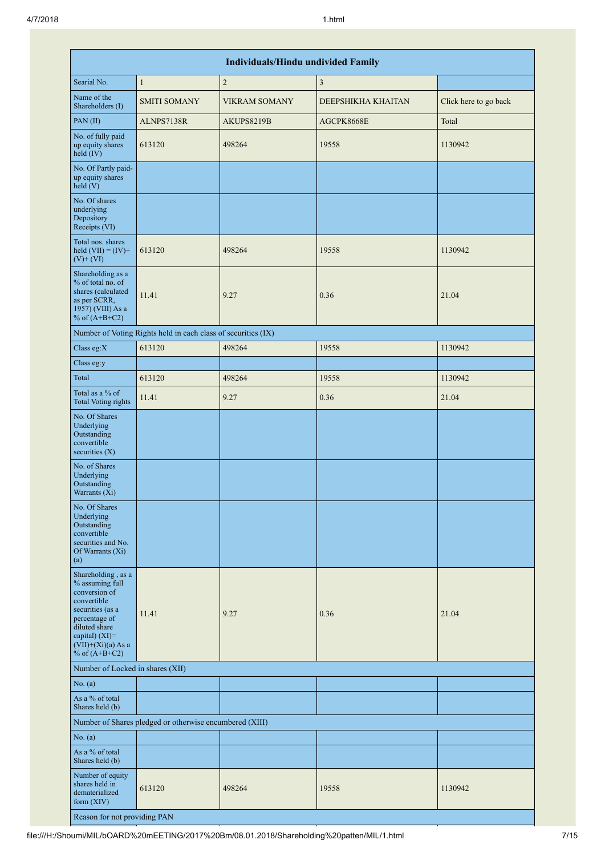| <b>Individuals/Hindu undivided Family</b>                                                                                                                                                   |                                                               |                      |                    |                       |  |  |  |  |  |  |
|---------------------------------------------------------------------------------------------------------------------------------------------------------------------------------------------|---------------------------------------------------------------|----------------------|--------------------|-----------------------|--|--|--|--|--|--|
| Searial No.                                                                                                                                                                                 | $\mathbf{1}$                                                  | $\overline{2}$       | $\mathfrak{Z}$     |                       |  |  |  |  |  |  |
| Name of the<br>Shareholders (I)                                                                                                                                                             | <b>SMITI SOMANY</b>                                           | <b>VIKRAM SOMANY</b> | DEEPSHIKHA KHAITAN | Click here to go back |  |  |  |  |  |  |
| PAN (II)                                                                                                                                                                                    | ALNPS7138R                                                    | AKUPS8219B           | AGCPK8668E         | Total                 |  |  |  |  |  |  |
| No. of fully paid<br>up equity shares<br>held (IV)                                                                                                                                          | 613120                                                        | 498264               | 19558              | 1130942               |  |  |  |  |  |  |
| No. Of Partly paid-<br>up equity shares<br>$\text{held}$ (V)                                                                                                                                |                                                               |                      |                    |                       |  |  |  |  |  |  |
| No. Of shares<br>underlying<br>Depository<br>Receipts (VI)                                                                                                                                  |                                                               |                      |                    |                       |  |  |  |  |  |  |
| Total nos. shares<br>held $(VII) = (IV) +$<br>$(V)+(VI)$                                                                                                                                    | 613120                                                        | 498264               | 19558              | 1130942               |  |  |  |  |  |  |
| Shareholding as a<br>% of total no. of<br>shares (calculated<br>as per SCRR,<br>1957) (VIII) As a<br>% of $(A+B+C2)$                                                                        | 11.41                                                         | 9.27                 | 0.36               | 21.04                 |  |  |  |  |  |  |
|                                                                                                                                                                                             | Number of Voting Rights held in each class of securities (IX) |                      |                    |                       |  |  |  |  |  |  |
| Class eg:X                                                                                                                                                                                  | 613120                                                        | 498264               | 19558              | 1130942               |  |  |  |  |  |  |
| Class eg:y                                                                                                                                                                                  |                                                               |                      |                    |                       |  |  |  |  |  |  |
| Total                                                                                                                                                                                       | 613120                                                        | 498264               | 19558              | 1130942               |  |  |  |  |  |  |
| Total as a % of<br><b>Total Voting rights</b>                                                                                                                                               | 11.41                                                         | 9.27                 | 0.36               | 21.04                 |  |  |  |  |  |  |
| No. Of Shares<br>Underlying<br>Outstanding<br>convertible<br>securities $(X)$                                                                                                               |                                                               |                      |                    |                       |  |  |  |  |  |  |
| No. of Shares<br>Underlying<br>Outstanding<br>Warrants (Xi)                                                                                                                                 |                                                               |                      |                    |                       |  |  |  |  |  |  |
| No. Of Shares<br>Underlying<br>Outstanding<br>convertible<br>securities and No.<br>Of Warrants (Xi)<br>(a)                                                                                  |                                                               |                      |                    |                       |  |  |  |  |  |  |
| Shareholding, as a<br>% assuming full<br>conversion of<br>convertible<br>securities (as a<br>percentage of<br>diluted share<br>capital) $(XI)$ =<br>$(VII)+(Xi)(a)$ As a<br>% of $(A+B+C2)$ | 11.41                                                         | 9.27                 | 0.36               | 21.04                 |  |  |  |  |  |  |
| Number of Locked in shares (XII)                                                                                                                                                            |                                                               |                      |                    |                       |  |  |  |  |  |  |
| No. (a)                                                                                                                                                                                     |                                                               |                      |                    |                       |  |  |  |  |  |  |
| As a % of total<br>Shares held (b)                                                                                                                                                          |                                                               |                      |                    |                       |  |  |  |  |  |  |
|                                                                                                                                                                                             | Number of Shares pledged or otherwise encumbered (XIII)       |                      |                    |                       |  |  |  |  |  |  |
| No. $(a)$                                                                                                                                                                                   |                                                               |                      |                    |                       |  |  |  |  |  |  |
| As a % of total<br>Shares held (b)                                                                                                                                                          |                                                               |                      |                    |                       |  |  |  |  |  |  |
| Number of equity<br>shares held in<br>dematerialized<br>form $(XIV)$                                                                                                                        | 613120                                                        | 498264               | 19558              | 1130942               |  |  |  |  |  |  |
| Reason for not providing PAN                                                                                                                                                                |                                                               |                      |                    |                       |  |  |  |  |  |  |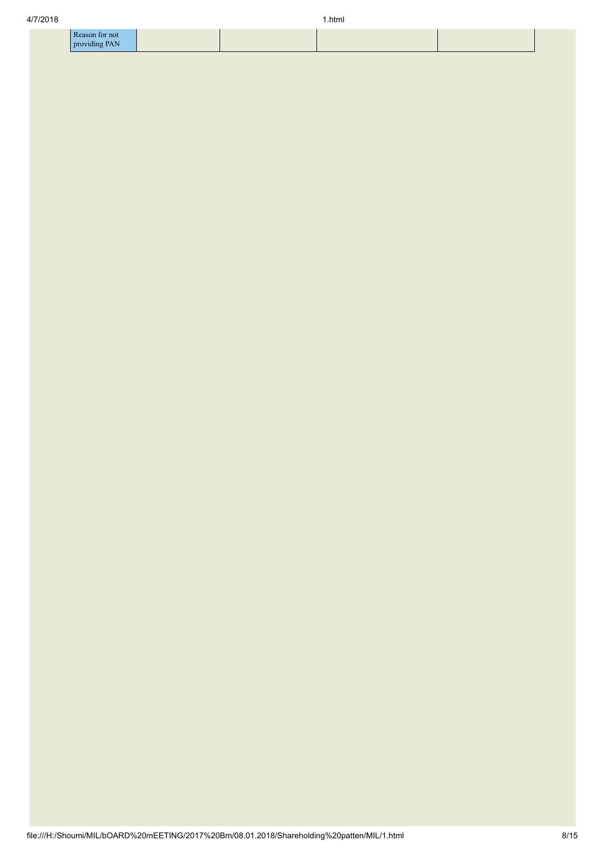| 4/7/2018 |                                 |  | .html |  |  |
|----------|---------------------------------|--|-------|--|--|
|          | Reason for not<br>providing PAN |  |       |  |  |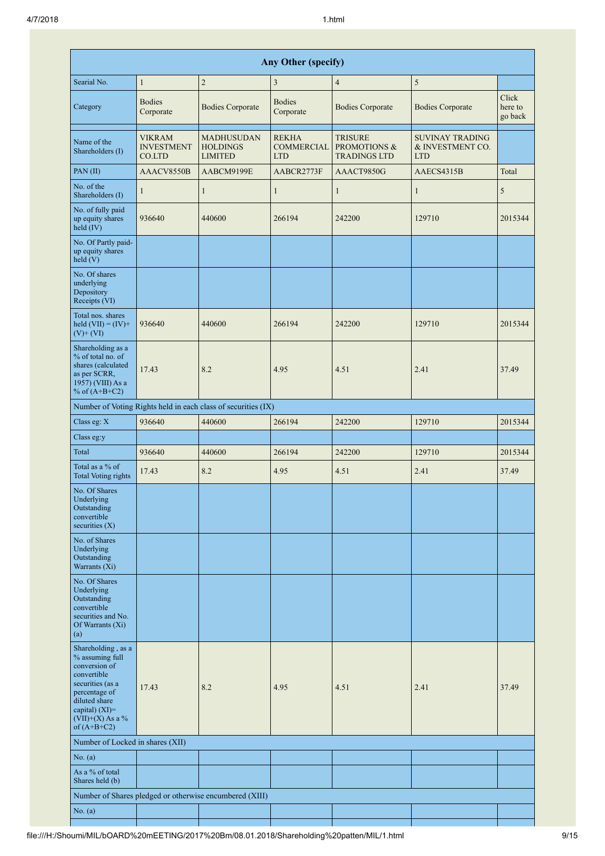| <b>Any Other (specify)</b>                                                                                                                                                              |                                              |                                                               |                                                 |                                                                  |                                                          |                             |  |  |  |  |  |
|-----------------------------------------------------------------------------------------------------------------------------------------------------------------------------------------|----------------------------------------------|---------------------------------------------------------------|-------------------------------------------------|------------------------------------------------------------------|----------------------------------------------------------|-----------------------------|--|--|--|--|--|
| Searial No.                                                                                                                                                                             | $\mathbf{1}$                                 | $\overline{2}$                                                | 3                                               | $\overline{4}$                                                   | $\sqrt{5}$                                               |                             |  |  |  |  |  |
| Category                                                                                                                                                                                | <b>Bodies</b><br>Corporate                   | <b>Bodies Corporate</b>                                       | <b>Bodies</b><br>Corporate                      | <b>Bodies Corporate</b>                                          | <b>Bodies Corporate</b>                                  | Click<br>here to<br>go back |  |  |  |  |  |
| Name of the<br>Shareholders (I)                                                                                                                                                         | <b>VIKRAM</b><br><b>INVESTMENT</b><br>CO.LTD | <b>MADHUSUDAN</b><br><b>HOLDINGS</b><br><b>LIMITED</b>        | <b>REKHA</b><br><b>COMMERCIAL</b><br><b>LTD</b> | <b>TRISURE</b><br><b>PROMOTIONS &amp;</b><br><b>TRADINGS LTD</b> | <b>SUVINAY TRADING</b><br>& INVESTMENT CO.<br><b>LTD</b> |                             |  |  |  |  |  |
| PAN(II)                                                                                                                                                                                 | AAACV8550B                                   | AABCM9199E                                                    | AABCR2773F                                      | AAACT9850G                                                       | AAECS4315B                                               | Total                       |  |  |  |  |  |
| No. of the<br>Shareholders (I)                                                                                                                                                          | $\mathbf{1}$                                 | $\mathbf{1}$                                                  | $\mathbf{1}$                                    | $\mathbf{1}$                                                     | $\mathbf{1}$                                             | 5                           |  |  |  |  |  |
| No. of fully paid<br>up equity shares<br>held (IV)                                                                                                                                      | 936640                                       | 440600                                                        | 266194                                          | 242200                                                           | 129710                                                   | 2015344                     |  |  |  |  |  |
| No. Of Partly paid-<br>up equity shares<br>held(V)                                                                                                                                      |                                              |                                                               |                                                 |                                                                  |                                                          |                             |  |  |  |  |  |
| No. Of shares<br>underlying<br>Depository<br>Receipts (VI)                                                                                                                              |                                              |                                                               |                                                 |                                                                  |                                                          |                             |  |  |  |  |  |
| Total nos. shares<br>held $(VII) = (IV) +$<br>$(V)+(VI)$                                                                                                                                | 936640                                       | 440600                                                        | 266194                                          | 242200                                                           | 129710                                                   | 2015344                     |  |  |  |  |  |
| Shareholding as a<br>% of total no. of<br>shares (calculated<br>as per SCRR,<br>1957) (VIII) As a<br>% of $(A+B+C2)$                                                                    | 17.43                                        | 8.2                                                           | 4.95                                            | 4.51                                                             | 2.41                                                     | 37.49                       |  |  |  |  |  |
|                                                                                                                                                                                         |                                              | Number of Voting Rights held in each class of securities (IX) |                                                 |                                                                  |                                                          |                             |  |  |  |  |  |
| Class eg: X                                                                                                                                                                             | 936640                                       | 440600                                                        | 266194                                          | 242200                                                           | 129710                                                   | 2015344                     |  |  |  |  |  |
| Class eg:y                                                                                                                                                                              |                                              |                                                               |                                                 |                                                                  |                                                          |                             |  |  |  |  |  |
| Total                                                                                                                                                                                   | 936640                                       | 440600                                                        | 266194                                          | 242200                                                           | 129710                                                   | 2015344                     |  |  |  |  |  |
| Total as a % of<br><b>Total Voting rights</b>                                                                                                                                           | 17.43                                        | 8.2                                                           | 4.95                                            | 4.51                                                             | 2.41                                                     | 37.49                       |  |  |  |  |  |
| No. Of Shares<br>Underlying<br>Outstanding<br>convertible<br>securities $(X)$                                                                                                           |                                              |                                                               |                                                 |                                                                  |                                                          |                             |  |  |  |  |  |
| No. of Shares<br>Underlying<br>Outstanding<br>Warrants (Xi)                                                                                                                             |                                              |                                                               |                                                 |                                                                  |                                                          |                             |  |  |  |  |  |
| No. Of Shares<br>Underlying<br>Outstanding<br>convertible<br>securities and No.<br>Of Warrants (Xi)<br>(a)                                                                              |                                              |                                                               |                                                 |                                                                  |                                                          |                             |  |  |  |  |  |
| Shareholding, as a<br>% assuming full<br>conversion of<br>convertible<br>securities (as a<br>percentage of<br>diluted share<br>capital) $(XI)$ =<br>$(VII)+(X)$ As a %<br>of $(A+B+C2)$ | 17.43                                        | 8.2                                                           | 4.95                                            | 4.51                                                             | 2.41                                                     | 37.49                       |  |  |  |  |  |
| Number of Locked in shares (XII)                                                                                                                                                        |                                              |                                                               |                                                 |                                                                  |                                                          |                             |  |  |  |  |  |
| No. $(a)$                                                                                                                                                                               |                                              |                                                               |                                                 |                                                                  |                                                          |                             |  |  |  |  |  |
| As a % of total<br>Shares held (b)                                                                                                                                                      |                                              |                                                               |                                                 |                                                                  |                                                          |                             |  |  |  |  |  |
|                                                                                                                                                                                         |                                              | Number of Shares pledged or otherwise encumbered (XIII)       |                                                 |                                                                  |                                                          |                             |  |  |  |  |  |
| No. $(a)$                                                                                                                                                                               |                                              |                                                               |                                                 |                                                                  |                                                          |                             |  |  |  |  |  |

H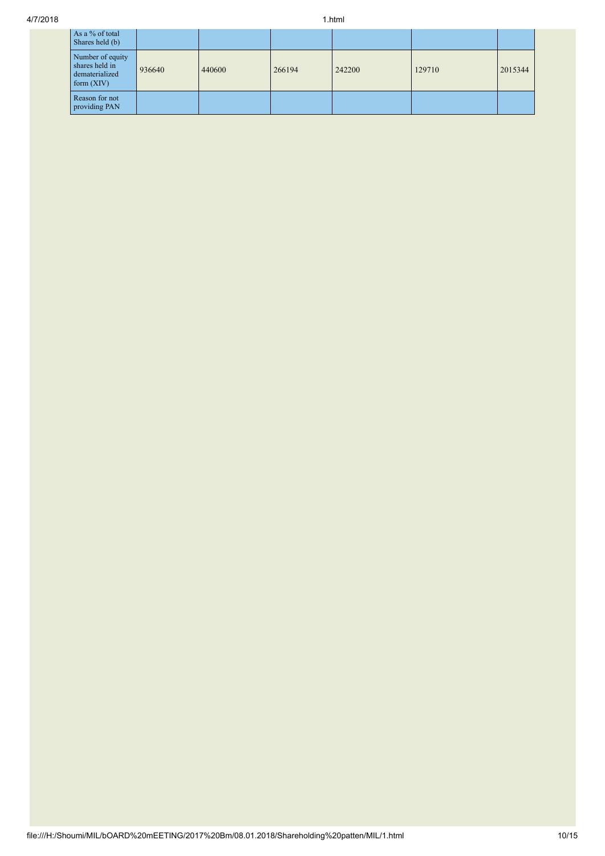| As a % of total<br>Shares held (b)                                   |        |        |        |        |        |         |
|----------------------------------------------------------------------|--------|--------|--------|--------|--------|---------|
| Number of equity<br>shares held in<br>dematerialized<br>form $(XIV)$ | 936640 | 440600 | 266194 | 242200 | 129710 | 2015344 |
| Reason for not<br>providing PAN                                      |        |        |        |        |        |         |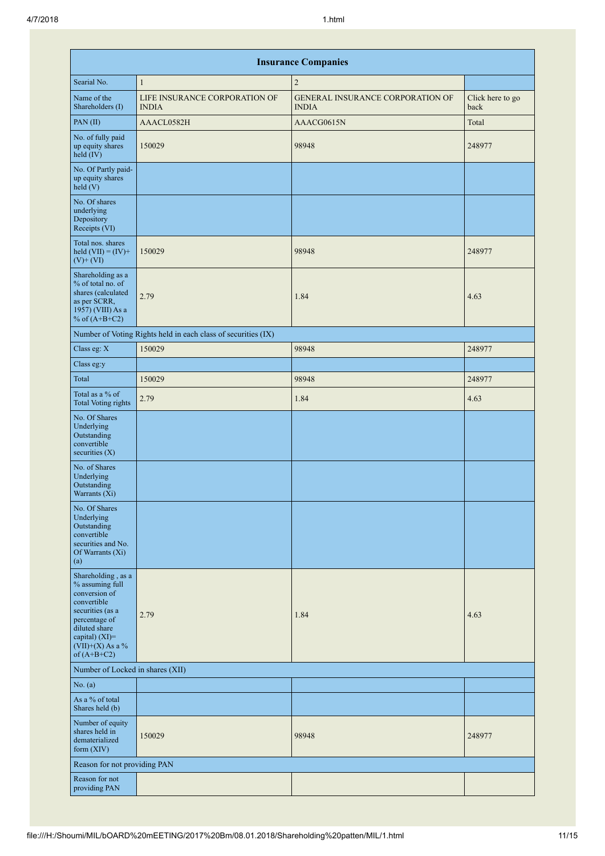|                                                                                                                                                                                         | <b>Insurance Companies</b>                                    |                                                         |                          |  |  |  |  |  |  |  |  |
|-----------------------------------------------------------------------------------------------------------------------------------------------------------------------------------------|---------------------------------------------------------------|---------------------------------------------------------|--------------------------|--|--|--|--|--|--|--|--|
| Searial No.                                                                                                                                                                             | $\mathbf{1}$                                                  | $\overline{2}$                                          |                          |  |  |  |  |  |  |  |  |
| Name of the<br>Shareholders (I)                                                                                                                                                         | LIFE INSURANCE CORPORATION OF<br><b>INDIA</b>                 | <b>GENERAL INSURANCE CORPORATION OF</b><br><b>INDIA</b> | Click here to go<br>back |  |  |  |  |  |  |  |  |
| PAN(II)                                                                                                                                                                                 | AAACL0582H                                                    | AAACG0615N                                              | Total                    |  |  |  |  |  |  |  |  |
| No. of fully paid<br>up equity shares<br>held (IV)                                                                                                                                      | 150029                                                        | 98948                                                   | 248977                   |  |  |  |  |  |  |  |  |
| No. Of Partly paid-<br>up equity shares<br>held(V)                                                                                                                                      |                                                               |                                                         |                          |  |  |  |  |  |  |  |  |
| No. Of shares<br>underlying<br>Depository<br>Receipts (VI)                                                                                                                              |                                                               |                                                         |                          |  |  |  |  |  |  |  |  |
| Total nos. shares<br>held $(VII) = (IV) +$<br>$(V)+(VI)$                                                                                                                                | 150029                                                        | 98948                                                   | 248977                   |  |  |  |  |  |  |  |  |
| Shareholding as a<br>% of total no. of<br>shares (calculated<br>as per SCRR,<br>1957) (VIII) As a<br>% of $(A+B+C2)$                                                                    | 2.79                                                          | 1.84                                                    | 4.63                     |  |  |  |  |  |  |  |  |
|                                                                                                                                                                                         | Number of Voting Rights held in each class of securities (IX) |                                                         |                          |  |  |  |  |  |  |  |  |
| Class eg: X                                                                                                                                                                             | 150029                                                        | 98948                                                   | 248977                   |  |  |  |  |  |  |  |  |
| Class eg:y                                                                                                                                                                              |                                                               |                                                         |                          |  |  |  |  |  |  |  |  |
| Total                                                                                                                                                                                   | 150029                                                        | 98948                                                   | 248977                   |  |  |  |  |  |  |  |  |
| Total as a % of<br><b>Total Voting rights</b>                                                                                                                                           | 2.79                                                          | 1.84                                                    | 4.63                     |  |  |  |  |  |  |  |  |
| No. Of Shares<br>Underlying<br>Outstanding<br>convertible<br>securities $(X)$                                                                                                           |                                                               |                                                         |                          |  |  |  |  |  |  |  |  |
| No. of Shares<br>Underlying<br>Outstanding<br>Warrants (Xi)                                                                                                                             |                                                               |                                                         |                          |  |  |  |  |  |  |  |  |
| No. Of Shares<br>Underlying<br>Outstanding<br>convertible<br>securities and No.<br>Of Warrants (Xi)<br>(a)                                                                              |                                                               |                                                         |                          |  |  |  |  |  |  |  |  |
| Shareholding, as a<br>% assuming full<br>conversion of<br>convertible<br>securities (as a<br>percentage of<br>diluted share<br>capital) $(XI)$ =<br>$(VII)+(X)$ As a %<br>of $(A+B+C2)$ | 2.79                                                          | 1.84                                                    | 4.63                     |  |  |  |  |  |  |  |  |
| Number of Locked in shares (XII)                                                                                                                                                        |                                                               |                                                         |                          |  |  |  |  |  |  |  |  |
| No. $(a)$                                                                                                                                                                               |                                                               |                                                         |                          |  |  |  |  |  |  |  |  |
| As a % of total<br>Shares held (b)                                                                                                                                                      |                                                               |                                                         |                          |  |  |  |  |  |  |  |  |
| Number of equity<br>shares held in<br>dematerialized<br>form $(XIV)$                                                                                                                    | 150029                                                        | 98948                                                   | 248977                   |  |  |  |  |  |  |  |  |
| Reason for not providing PAN                                                                                                                                                            |                                                               |                                                         |                          |  |  |  |  |  |  |  |  |
| Reason for not<br>providing PAN                                                                                                                                                         |                                                               |                                                         |                          |  |  |  |  |  |  |  |  |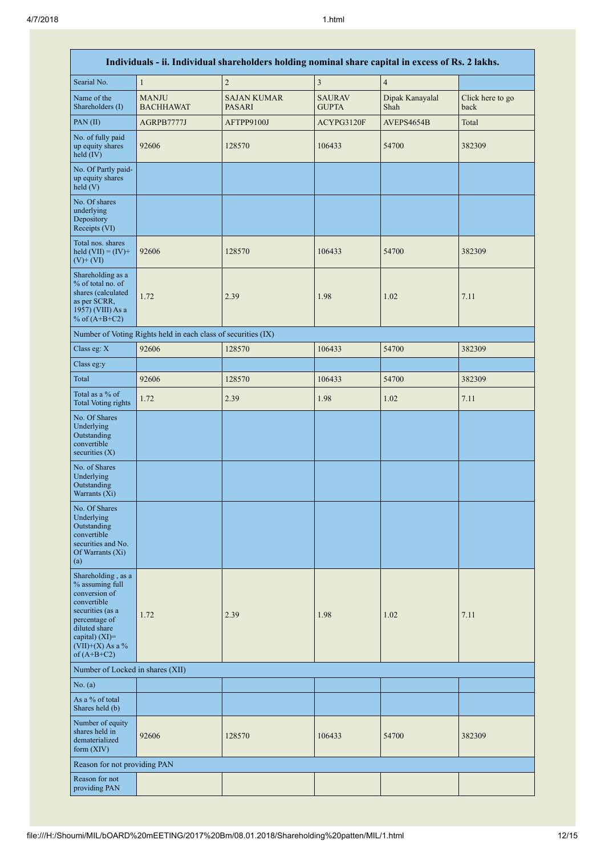| Individuals - ii. Individual shareholders holding nominal share capital in excess of Rs. 2 lakhs.                                                                                       |                                                               |                                     |                               |                         |                          |  |  |  |  |  |
|-----------------------------------------------------------------------------------------------------------------------------------------------------------------------------------------|---------------------------------------------------------------|-------------------------------------|-------------------------------|-------------------------|--------------------------|--|--|--|--|--|
| Searial No.                                                                                                                                                                             | $\mathbf{1}$                                                  | $\overline{c}$                      | $\overline{\mathbf{3}}$       | $\sqrt{4}$              |                          |  |  |  |  |  |
| Name of the<br>Shareholders (I)                                                                                                                                                         | <b>MANJU</b><br><b>BACHHAWAT</b>                              | <b>SAJAN KUMAR</b><br><b>PASARI</b> | <b>SAURAV</b><br><b>GUPTA</b> | Dipak Kanayalal<br>Shah | Click here to go<br>back |  |  |  |  |  |
| PAN(II)                                                                                                                                                                                 | AGRPB7777J                                                    | AFTPP9100J                          | ACYPG3120F                    | AVEPS4654B              | Total                    |  |  |  |  |  |
| No. of fully paid<br>up equity shares<br>held (IV)                                                                                                                                      | 92606                                                         | 128570                              | 106433                        | 54700                   | 382309                   |  |  |  |  |  |
| No. Of Partly paid-<br>up equity shares<br>held (V)                                                                                                                                     |                                                               |                                     |                               |                         |                          |  |  |  |  |  |
| No. Of shares<br>underlying<br>Depository<br>Receipts (VI)                                                                                                                              |                                                               |                                     |                               |                         |                          |  |  |  |  |  |
| Total nos. shares<br>held $(VII) = (IV) +$<br>$(V)+(VI)$                                                                                                                                | 92606                                                         | 128570                              | 106433                        | 54700                   | 382309                   |  |  |  |  |  |
| Shareholding as a<br>% of total no. of<br>shares (calculated<br>as per SCRR,<br>1957) (VIII) As a<br>% of $(A+B+C2)$                                                                    | 1.72                                                          | 2.39                                | 1.98                          | 1.02                    | 7.11                     |  |  |  |  |  |
|                                                                                                                                                                                         | Number of Voting Rights held in each class of securities (IX) |                                     |                               |                         |                          |  |  |  |  |  |
| Class eg: X                                                                                                                                                                             | 92606                                                         | 128570                              | 106433                        | 54700                   | 382309                   |  |  |  |  |  |
| Class eg:y                                                                                                                                                                              |                                                               |                                     |                               |                         |                          |  |  |  |  |  |
| Total                                                                                                                                                                                   | 92606                                                         | 128570                              | 106433                        | 54700                   | 382309                   |  |  |  |  |  |
| Total as a % of<br><b>Total Voting rights</b>                                                                                                                                           | 1.72                                                          | 2.39                                | 1.98                          | 1.02                    | 7.11                     |  |  |  |  |  |
| No. Of Shares<br>Underlying<br>Outstanding<br>convertible<br>securities $(X)$                                                                                                           |                                                               |                                     |                               |                         |                          |  |  |  |  |  |
| No. of Shares<br>Underlying<br>Outstanding<br>Warrants (Xi)                                                                                                                             |                                                               |                                     |                               |                         |                          |  |  |  |  |  |
| No. Of Shares<br>Underlying<br>Outstanding<br>convertible<br>securities and No.<br>Of Warrants (Xi)<br>(a)                                                                              |                                                               |                                     |                               |                         |                          |  |  |  |  |  |
| Shareholding, as a<br>% assuming full<br>conversion of<br>convertible<br>securities (as a<br>percentage of<br>diluted share<br>capital) $(XI)$ =<br>$(VII)+(X)$ As a %<br>of $(A+B+C2)$ | 1.72                                                          | 2.39                                | 1.98                          | 1.02                    | 7.11                     |  |  |  |  |  |
| Number of Locked in shares (XII)                                                                                                                                                        |                                                               |                                     |                               |                         |                          |  |  |  |  |  |
| No. $(a)$                                                                                                                                                                               |                                                               |                                     |                               |                         |                          |  |  |  |  |  |
| As a % of total<br>Shares held (b)                                                                                                                                                      |                                                               |                                     |                               |                         |                          |  |  |  |  |  |
| Number of equity<br>shares held in<br>dematerialized<br>form $(XIV)$                                                                                                                    | 92606                                                         | 128570                              | 106433                        | 54700                   | 382309                   |  |  |  |  |  |
| Reason for not providing PAN                                                                                                                                                            |                                                               |                                     |                               |                         |                          |  |  |  |  |  |
| Reason for not<br>providing PAN                                                                                                                                                         |                                                               |                                     |                               |                         |                          |  |  |  |  |  |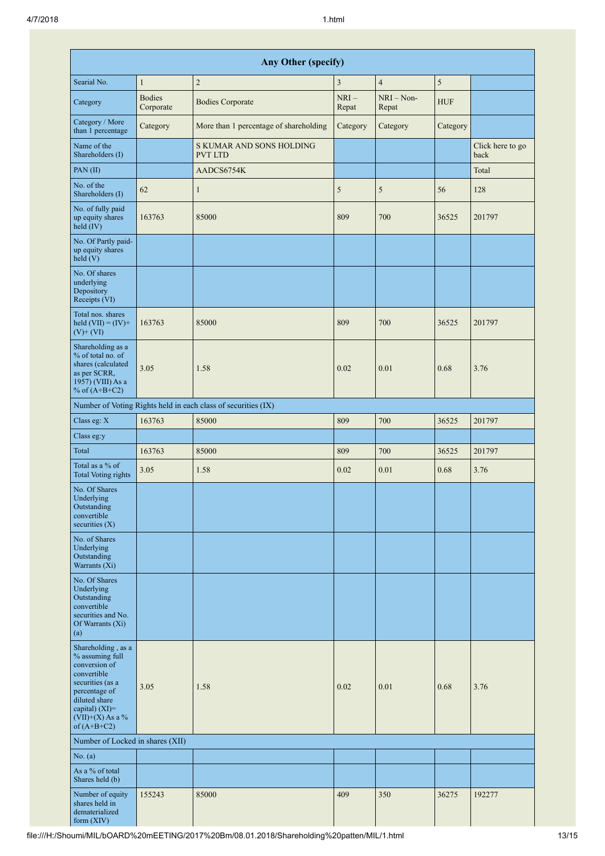| <b>Any Other (specify)</b>                                                                                                                                                              |                            |                                                               |                 |                       |            |                          |  |  |  |  |
|-----------------------------------------------------------------------------------------------------------------------------------------------------------------------------------------|----------------------------|---------------------------------------------------------------|-----------------|-----------------------|------------|--------------------------|--|--|--|--|
| Searial No.                                                                                                                                                                             | $\mathbf{1}$               | $\sqrt{2}$                                                    | 3               | $\overline{4}$        | 5          |                          |  |  |  |  |
| Category                                                                                                                                                                                | <b>Bodies</b><br>Corporate | <b>Bodies Corporate</b>                                       | $NRI-$<br>Repat | $NRI - Non-$<br>Repat | <b>HUF</b> |                          |  |  |  |  |
| Category / More<br>than 1 percentage                                                                                                                                                    | Category                   | More than 1 percentage of shareholding                        | Category        | Category              | Category   |                          |  |  |  |  |
| Name of the<br>Shareholders (I)                                                                                                                                                         |                            | S KUMAR AND SONS HOLDING<br><b>PVT LTD</b>                    |                 |                       |            | Click here to go<br>back |  |  |  |  |
| PAN(II)                                                                                                                                                                                 |                            | AADCS6754K                                                    |                 |                       |            | Total                    |  |  |  |  |
| No. of the<br>Shareholders (I)                                                                                                                                                          | 62                         | $\mathbf{1}$                                                  | 5               | 5                     | 56         | 128                      |  |  |  |  |
| No. of fully paid<br>up equity shares<br>$\text{held} (IV)$                                                                                                                             | 163763                     | 85000                                                         | 809             | 700                   | 36525      | 201797                   |  |  |  |  |
| No. Of Partly paid-<br>up equity shares<br>held (V)                                                                                                                                     |                            |                                                               |                 |                       |            |                          |  |  |  |  |
| No. Of shares<br>underlying<br>Depository<br>Receipts (VI)                                                                                                                              |                            |                                                               |                 |                       |            |                          |  |  |  |  |
| Total nos. shares<br>held $(VII) = (IV) +$<br>$(V)$ + $(VI)$                                                                                                                            | 163763                     | 85000                                                         | 809             | 700                   | 36525      | 201797                   |  |  |  |  |
| Shareholding as a<br>% of total no. of<br>shares (calculated<br>as per SCRR,<br>1957) (VIII) As a<br>% of $(A+B+C2)$                                                                    | 3.05                       | 1.58                                                          | 0.02            | 0.01                  | 0.68       | 3.76                     |  |  |  |  |
|                                                                                                                                                                                         |                            | Number of Voting Rights held in each class of securities (IX) |                 |                       |            |                          |  |  |  |  |
| Class eg: X                                                                                                                                                                             | 163763                     | 85000                                                         | 809             | 700                   | 36525      | 201797                   |  |  |  |  |
| Class eg:y                                                                                                                                                                              |                            |                                                               |                 |                       |            |                          |  |  |  |  |
| Total                                                                                                                                                                                   | 163763                     | 85000                                                         | 809             | 700                   | 36525      | 201797                   |  |  |  |  |
| Total as a % of<br><b>Total Voting rights</b>                                                                                                                                           | 3.05                       | 1.58                                                          | 0.02            | 0.01                  | 0.68       | 3.76                     |  |  |  |  |
| No. Of Shares<br>Underlying<br>Outstanding<br>convertible<br>securities $(X)$                                                                                                           |                            |                                                               |                 |                       |            |                          |  |  |  |  |
| No. of Shares<br>Underlying<br>Outstanding<br>Warrants (Xi)                                                                                                                             |                            |                                                               |                 |                       |            |                          |  |  |  |  |
| No. Of Shares<br>Underlying<br>Outstanding<br>convertible<br>securities and No.<br>Of Warrants (Xi)<br>(a)                                                                              |                            |                                                               |                 |                       |            |                          |  |  |  |  |
| Shareholding, as a<br>% assuming full<br>conversion of<br>convertible<br>securities (as a<br>percentage of<br>diluted share<br>capital) $(XI)$ =<br>$(VII)+(X)$ As a %<br>of $(A+B+C2)$ | 3.05                       | 1.58                                                          | 0.02            | 0.01                  | 0.68       | 3.76                     |  |  |  |  |
| Number of Locked in shares (XII)                                                                                                                                                        |                            |                                                               |                 |                       |            |                          |  |  |  |  |
| No. $(a)$<br>As a % of total                                                                                                                                                            |                            |                                                               |                 |                       |            |                          |  |  |  |  |
| Shares held (b)<br>Number of equity<br>shares held in<br>dematerialized<br>form (XIV)                                                                                                   | 155243                     | 85000                                                         | 409             | 350                   | 36275      | 192277                   |  |  |  |  |